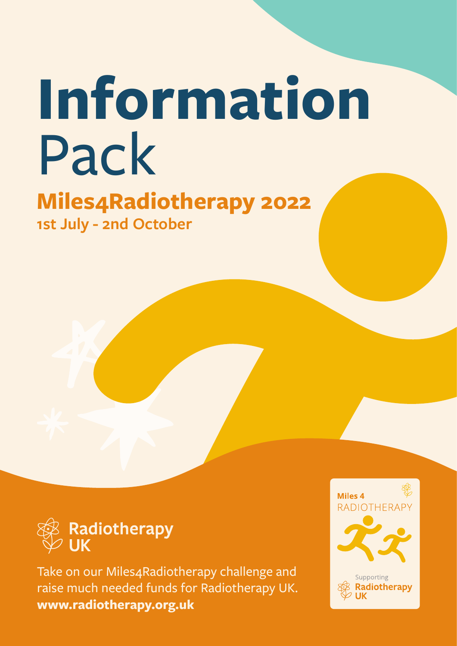# **Information**  Pack

**[Miles4Radiotherapy 2022](https://radiotherapy.org.uk/professional/professionals-news/miles4radiotherapy-2022/) [1st July - 2nd](https://radiotherapy.org.uk/professional/professionals-news/miles4radiotherapy-2022/) October**



Take on our Miles4Radiotherapy challenge and raise much needed funds for Radiotherapy UK. **[www.radiotherapy.org.uk](https://radiotherapy.org.uk/)**

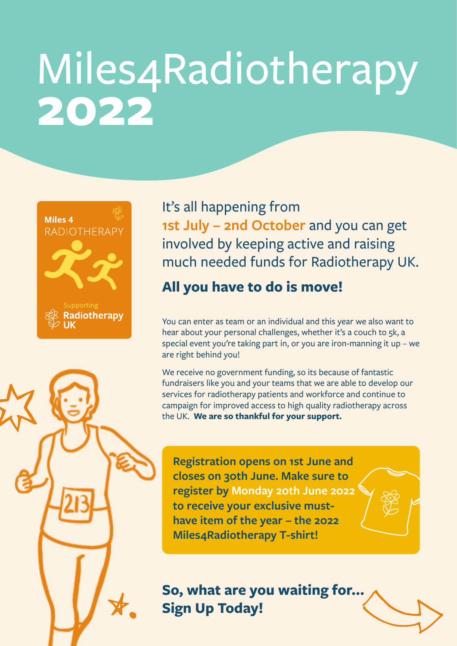# Miles4Radiotherapy **2022**





#### **All you have to do is move!**

You can enter as team or an individual and this year we also want to hear about your personal challenges, whether it's a couch to 5k, a special event you're taking part in, or you are iron-manning it up – we are right behind you!

We receive no government funding, so its because of fantastic fundraisers like you and your teams that we are able to develop our services for radiotherapy patients and workforce and continue to campaign for improved access to high quality radiotherapy across the UK. **We are so thankful for your support.**

**Registration opens on 1st June and closes on 30th June. Make sure to register by Monday 20th June 2022 to receive your exclusive musthave item of the year – the 2022 Miles4Radiotherapy T-shirt!**

**So, what are you waiting for... Sign Up Today!**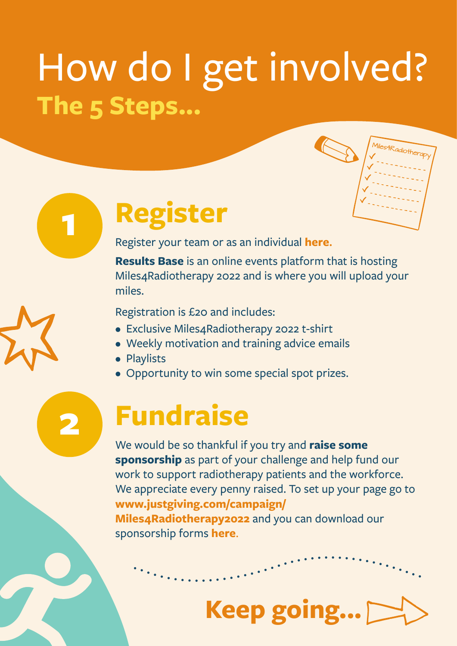# How do I get involved? **The 5 Steps...**



### **Register**

Register your team or as an individual **[here](https://www.resultsbase.net/event/6357).** 

**Results Base** is an online events platform that is hosting Miles4Radiotherapy 2022 and is where you will upload your miles.

Registration is £20 and includes:

- Exclusive Miles4Radiotherapy 2022 t-shirt
- Weekly motivation and training advice emails
- Playlists

**1**

**2**

• Opportunity to win some special spot prizes.

#### **Fundraise**

We would be so thankful if you try and **raise some sponsorship** as part of your challenge and help fund our work to support radiotherapy patients and the workforce. We appreciate every penny raised. To set up your page go to **[www.justgiving.com/campaign/](http://www.justgiving.com/campaign/Miles4Radiotherapy2022) [Miles4Radiotherapy2022](http://www.justgiving.com/campaign/Miles4Radiotherapy2022)** and you can download our sponsorship forms **[here](https://radiotherapy.org.uk/wp-content/uploads/2022/05/M4R-Sponsorship-Form-2022-v2.pdf)**.

# **Keep going...**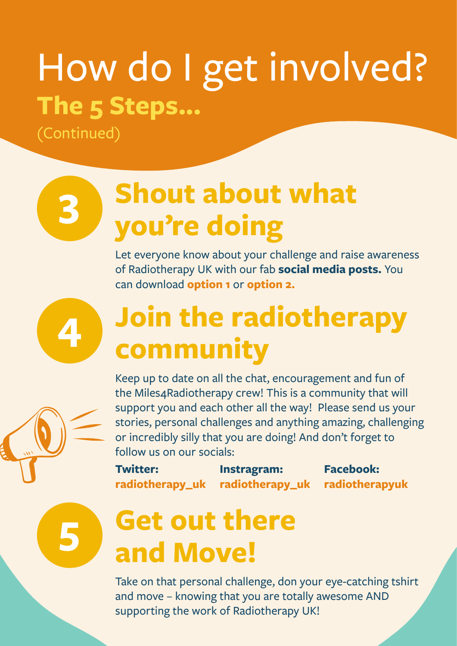# How do I get involved? **The 5 Steps...**

(Continued)

**3**

**4**

**5**

## **Shout about what you're doing**

Let everyone know about your challenge and raise awareness of Radiotherapy UK with our fab **social media posts.** You can download **[option 1](https://radiotherapy.org.uk/wp-content/uploads/2022/05/M4R-FB-Insta-Participant-Post-A-v1.png)** or **[option 2.](https://radiotherapy.org.uk/wp-content/uploads/2022/05/M4R-FB-Insta-Participant-Post-B-v4.png)**

### **Join the radiotherapy community**

Keep up to date on all the chat, encouragement and fun of the Miles4Radiotherapy crew! This is a community that will support you and each other all the way! Please send us your stories, personal challenges and anything amazing, challenging or incredibly silly that you are doing! And don't forget to follow us on our socials:

**Twitter: [radiotherapy\\_uk](https://twitter.com/Radiotherapy_UK) Instragram: [radiotherapy\\_uk](https://www.instagram.com/radiotherapy_uk/) Facebook: [radiotherapyuk](https://www.facebook.com/actionradiotherapy)**

#### **Get out there and Move!**

Take on that personal challenge, don your eye-catching tshirt and move – knowing that you are totally awesome AND supporting the work of Radiotherapy UK!